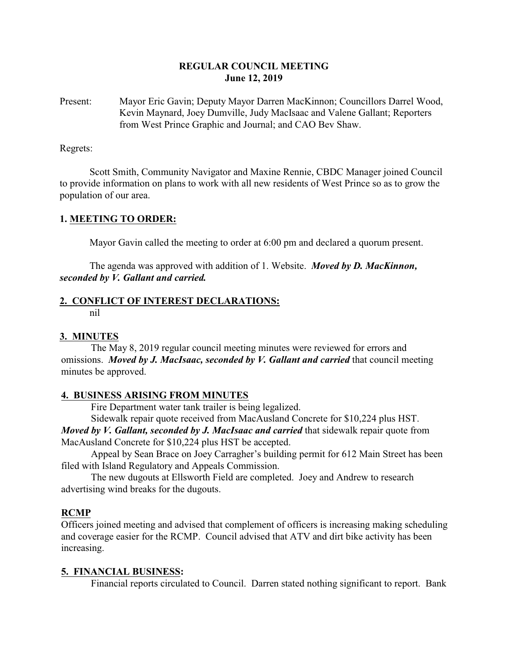# **REGULAR COUNCIL MEETING June 12, 2019**

Present: Mayor Eric Gavin; Deputy Mayor Darren MacKinnon; Councillors Darrel Wood, Kevin Maynard, Joey Dumville, Judy MacIsaac and Valene Gallant; Reporters from West Prince Graphic and Journal; and CAO Bev Shaw.

Regrets:

Scott Smith, Community Navigator and Maxine Rennie, CBDC Manager joined Council to provide information on plans to work with all new residents of West Prince so as to grow the population of our area.

## **1. MEETING TO ORDER:**

Mayor Gavin called the meeting to order at 6:00 pm and declared a quorum present.

The agenda was approved with addition of 1. Website. *Moved by D. MacKinnon, seconded by V. Gallant and carried.*

## **2. CONFLICT OF INTEREST DECLARATIONS:**

nil

## **3. MINUTES**

The May 8, 2019 regular council meeting minutes were reviewed for errors and omissions. *Moved by J. MacIsaac, seconded by V. Gallant and carried* that council meeting minutes be approved.

## **4. BUSINESS ARISING FROM MINUTES**

Fire Department water tank trailer is being legalized.

Sidewalk repair quote received from MacAusland Concrete for \$10,224 plus HST.

*Moved by V. Gallant, seconded by J. MacIsaac and carried that sidewalk repair quote from* MacAusland Concrete for \$10,224 plus HST be accepted.

Appeal by Sean Brace on Joey Carragher's building permit for 612 Main Street has been filed with Island Regulatory and Appeals Commission.

The new dugouts at Ellsworth Field are completed. Joey and Andrew to research advertising wind breaks for the dugouts.

## **RCMP**

Officers joined meeting and advised that complement of officers is increasing making scheduling and coverage easier for the RCMP. Council advised that ATV and dirt bike activity has been increasing.

## **5. FINANCIAL BUSINESS:**

Financial reports circulated to Council. Darren stated nothing significant to report. Bank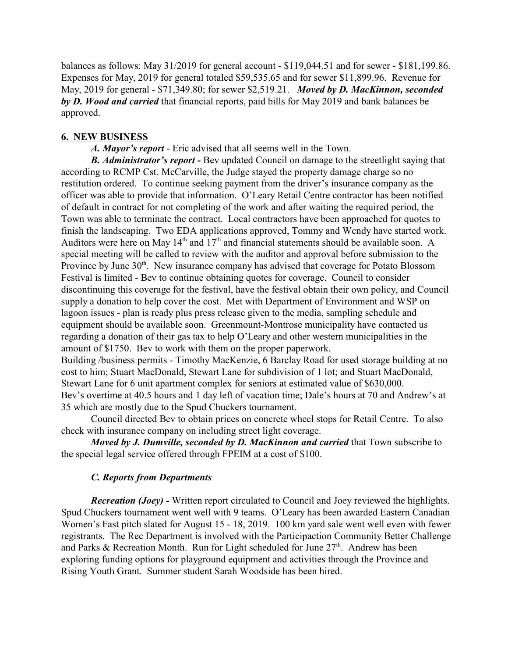balances as follows: May 31/2019 for general account - \$119,044.51 and for sewer - \$181,199.86. Expenses for May, 2019 for general totaled \$59,535.65 and for sewer \$11,899.96. Revenue for May, 2019 for general - \$71,349.80; for sewer \$2,519.21. *Moved by D. MacKinnon, seconded by D. Wood and carried* that financial reports, paid bills for May 2019 and bank balances be approved.

## **6. NEW BUSINESS**

*A. Mayor's report* - Eric advised that all seems well in the Town.

*B. Administrator's report -* Bev updated Council on damage to the streetlight saying that according to RCMP Cst. McCarville, the Judge stayed the property damage charge so no restitution ordered. To continue seeking payment from the driver's insurance company as the officer was able to provide that information. O'Leary Retail Centre contractor has been notified of default in contract for not completing of the work and after waiting the required period, the Town was able to terminate the contract. Local contractors have been approached for quotes to finish the landscaping. Two EDA applications approved, Tommy and Wendy have started work. Auditors were here on May  $14<sup>th</sup>$  and  $17<sup>th</sup>$  and financial statements should be available soon. A special meeting will be called to review with the auditor and approval before submission to the Province by June 30<sup>th</sup>. New insurance company has advised that coverage for Potato Blossom Festival is limited - Bev to continue obtaining quotes for coverage. Council to consider discontinuing this coverage for the festival, have the festival obtain their own policy, and Council supply a donation to help cover the cost. Met with Department of Environment and WSP on lagoon issues - plan is ready plus press release given to the media, sampling schedule and equipment should be available soon. Greenmount-Montrose municipality have contacted us regarding a donation of their gas tax to help O'Leary and other western municipalities in the amount of \$1750. Bev to work with them on the proper paperwork.

Building /business permits - Timothy MacKenzie, 6 Barclay Road for used storage building at no cost to him; Stuart MacDonald, Stewart Lane for subdivision of 1 lot; and Stuart MacDonald, Stewart Lane for 6 unit apartment complex for seniors at estimated value of \$630,000. Bev's overtime at 40.5 hours and 1 day left of vacation time; Dale's hours at 70 and Andrew's at 35 which are mostly due to the Spud Chuckers tournament.

Council directed Bev to obtain prices on concrete wheel stops for Retail Centre. To also check with insurance company on including street light coverage.

*Moved by J. Dumville, seconded by D. MacKinnon and carried* that Town subscribe to the special legal service offered through FPEIM at a cost of \$100.

# *C. Reports from Departments*

*Recreation (Joey) -* Written report circulated to Council and Joey reviewed the highlights. Spud Chuckers tournament went well with 9 teams. O'Leary has been awarded Eastern Canadian Women's Fast pitch slated for August 15 - 18, 2019. 100 km yard sale went well even with fewer registrants. The Rec Department is involved with the Participaction Community Better Challenge and Parks & Recreation Month. Run for Light scheduled for June  $27<sup>th</sup>$ . Andrew has been exploring funding options for playground equipment and activities through the Province and Rising Youth Grant. Summer student Sarah Woodside has been hired.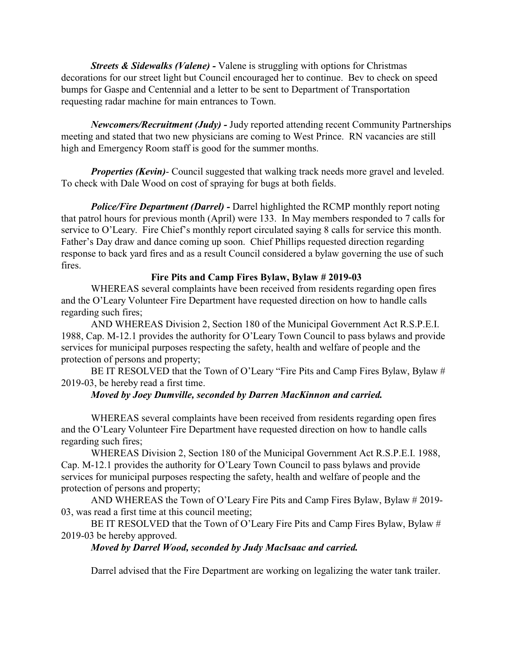*Streets & Sidewalks (Valene) -* Valene is struggling with options for Christmas decorations for our street light but Council encouraged her to continue. Bev to check on speed bumps for Gaspe and Centennial and a letter to be sent to Department of Transportation requesting radar machine for main entrances to Town.

*Newcomers/Recruitment (Judy) -* Judy reported attending recent Community Partnerships meeting and stated that two new physicians are coming to West Prince. RN vacancies are still high and Emergency Room staff is good for the summer months.

*Properties (Kevin)*- Council suggested that walking track needs more gravel and leveled. To check with Dale Wood on cost of spraying for bugs at both fields.

*Police/Fire Department (Darrel) -* Darrel highlighted the RCMP monthly report noting that patrol hours for previous month (April) were 133. In May members responded to 7 calls for service to O'Leary. Fire Chief's monthly report circulated saying 8 calls for service this month. Father's Day draw and dance coming up soon. Chief Phillips requested direction regarding response to back yard fires and as a result Council considered a bylaw governing the use of such fires.

# **Fire Pits and Camp Fires Bylaw, Bylaw # 2019-03**

WHEREAS several complaints have been received from residents regarding open fires and the O'Leary Volunteer Fire Department have requested direction on how to handle calls regarding such fires;

AND WHEREAS Division 2, Section 180 of the Municipal Government Act R.S.P.E.I. 1988, Cap. M-12.1 provides the authority for O'Leary Town Council to pass bylaws and provide services for municipal purposes respecting the safety, health and welfare of people and the protection of persons and property;

BE IT RESOLVED that the Town of O'Leary "Fire Pits and Camp Fires Bylaw, Bylaw # 2019-03, be hereby read a first time.

# *Moved by Joey Dumville, seconded by Darren MacKinnon and carried.*

WHEREAS several complaints have been received from residents regarding open fires and the O'Leary Volunteer Fire Department have requested direction on how to handle calls regarding such fires;

WHEREAS Division 2, Section 180 of the Municipal Government Act R.S.P.E.I. 1988, Cap. M-12.1 provides the authority for O'Leary Town Council to pass bylaws and provide services for municipal purposes respecting the safety, health and welfare of people and the protection of persons and property;

AND WHEREAS the Town of O'Leary Fire Pits and Camp Fires Bylaw, Bylaw # 2019- 03, was read a first time at this council meeting;

BE IT RESOLVED that the Town of O'Leary Fire Pits and Camp Fires Bylaw, Bylaw # 2019-03 be hereby approved.

# *Moved by Darrel Wood, seconded by Judy MacIsaac and carried.*

Darrel advised that the Fire Department are working on legalizing the water tank trailer.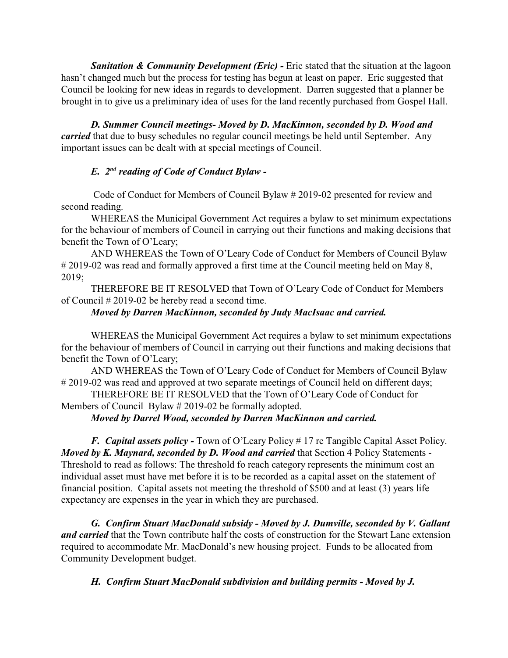**Sanitation & Community Development (Eric) - Eric stated that the situation at the lagoon** hasn't changed much but the process for testing has begun at least on paper. Eric suggested that Council be looking for new ideas in regards to development. Darren suggested that a planner be brought in to give us a preliminary idea of uses for the land recently purchased from Gospel Hall.

*D. Summer Council meetings- Moved by D. MacKinnon, seconded by D. Wood and carried* that due to busy schedules no regular council meetings be held until September. Any important issues can be dealt with at special meetings of Council.

# *E. 2nd reading of Code of Conduct Bylaw -*

Code of Conduct for Members of Council Bylaw # 2019-02 presented for review and second reading.

WHEREAS the Municipal Government Act requires a bylaw to set minimum expectations for the behaviour of members of Council in carrying out their functions and making decisions that benefit the Town of O'Leary;

AND WHEREAS the Town of O'Leary Code of Conduct for Members of Council Bylaw # 2019-02 was read and formally approved a first time at the Council meeting held on May 8, 2019;

THEREFORE BE IT RESOLVED that Town of O'Leary Code of Conduct for Members of Council # 2019-02 be hereby read a second time.

## *Moved by Darren MacKinnon, seconded by Judy MacIsaac and carried.*

WHEREAS the Municipal Government Act requires a bylaw to set minimum expectations for the behaviour of members of Council in carrying out their functions and making decisions that benefit the Town of O'Leary;

AND WHEREAS the Town of O'Leary Code of Conduct for Members of Council Bylaw # 2019-02 was read and approved at two separate meetings of Council held on different days;

THEREFORE BE IT RESOLVED that the Town of O'Leary Code of Conduct for Members of Council Bylaw # 2019-02 be formally adopted.

*Moved by Darrel Wood, seconded by Darren MacKinnon and carried.*

*F. Capital assets policy -* Town of O'Leary Policy # 17 re Tangible Capital Asset Policy. *Moved by K. Maynard, seconded by D. Wood and carried* that Section 4 Policy Statements - Threshold to read as follows: The threshold fo reach category represents the minimum cost an individual asset must have met before it is to be recorded as a capital asset on the statement of financial position. Capital assets not meeting the threshold of \$500 and at least (3) years life expectancy are expenses in the year in which they are purchased.

*G. Confirm Stuart MacDonald subsidy - Moved by J. Dumville, seconded by V. Gallant and carried* that the Town contribute half the costs of construction for the Stewart Lane extension required to accommodate Mr. MacDonald's new housing project. Funds to be allocated from Community Development budget.

*H. Confirm Stuart MacDonald subdivision and building permits - Moved by J.*